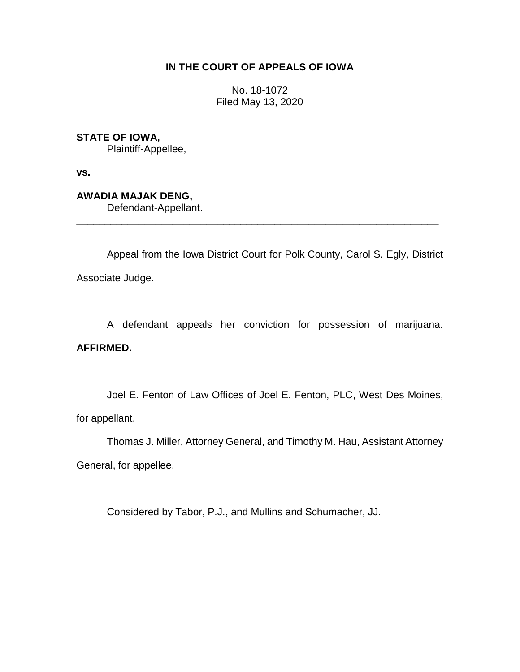## **IN THE COURT OF APPEALS OF IOWA**

No. 18-1072 Filed May 13, 2020

**STATE OF IOWA,**

Plaintiff-Appellee,

**vs.**

**AWADIA MAJAK DENG,** Defendant-Appellant.

Appeal from the Iowa District Court for Polk County, Carol S. Egly, District Associate Judge.

\_\_\_\_\_\_\_\_\_\_\_\_\_\_\_\_\_\_\_\_\_\_\_\_\_\_\_\_\_\_\_\_\_\_\_\_\_\_\_\_\_\_\_\_\_\_\_\_\_\_\_\_\_\_\_\_\_\_\_\_\_\_\_\_

A defendant appeals her conviction for possession of marijuana.

## **AFFIRMED.**

Joel E. Fenton of Law Offices of Joel E. Fenton, PLC, West Des Moines, for appellant.

Thomas J. Miller, Attorney General, and Timothy M. Hau, Assistant Attorney

General, for appellee.

Considered by Tabor, P.J., and Mullins and Schumacher, JJ.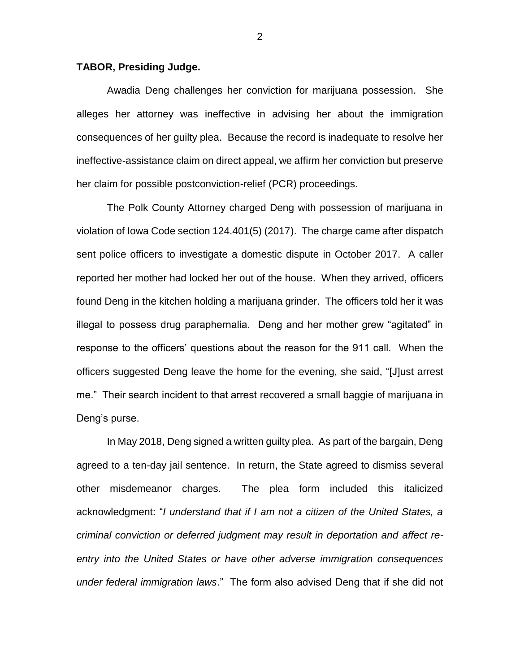## **TABOR, Presiding Judge.**

Awadia Deng challenges her conviction for marijuana possession. She alleges her attorney was ineffective in advising her about the immigration consequences of her guilty plea. Because the record is inadequate to resolve her ineffective-assistance claim on direct appeal, we affirm her conviction but preserve her claim for possible postconviction-relief (PCR) proceedings.

The Polk County Attorney charged Deng with possession of marijuana in violation of Iowa Code section 124.401(5) (2017). The charge came after dispatch sent police officers to investigate a domestic dispute in October 2017. A caller reported her mother had locked her out of the house. When they arrived, officers found Deng in the kitchen holding a marijuana grinder. The officers told her it was illegal to possess drug paraphernalia. Deng and her mother grew "agitated" in response to the officers' questions about the reason for the 911 call. When the officers suggested Deng leave the home for the evening, she said, "[J]ust arrest me." Their search incident to that arrest recovered a small baggie of marijuana in Deng's purse.

In May 2018, Deng signed a written guilty plea. As part of the bargain, Deng agreed to a ten-day jail sentence. In return, the State agreed to dismiss several other misdemeanor charges. The plea form included this italicized acknowledgment: "*I understand that if I am not a citizen of the United States, a criminal conviction or deferred judgment may result in deportation and affect reentry into the United States or have other adverse immigration consequences under federal immigration laws*." The form also advised Deng that if she did not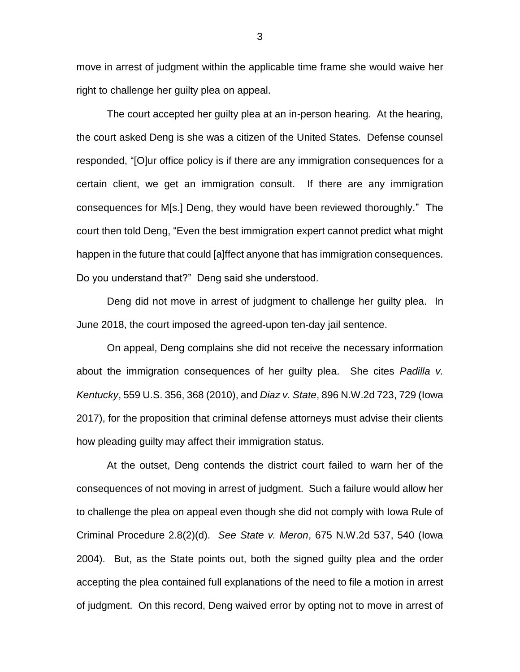move in arrest of judgment within the applicable time frame she would waive her right to challenge her guilty plea on appeal.

The court accepted her guilty plea at an in-person hearing. At the hearing, the court asked Deng is she was a citizen of the United States. Defense counsel responded, "[O]ur office policy is if there are any immigration consequences for a certain client, we get an immigration consult. If there are any immigration consequences for M[s.] Deng, they would have been reviewed thoroughly." The court then told Deng, "Even the best immigration expert cannot predict what might happen in the future that could [a]ffect anyone that has immigration consequences. Do you understand that?" Deng said she understood.

Deng did not move in arrest of judgment to challenge her guilty plea. In June 2018, the court imposed the agreed-upon ten-day jail sentence.

On appeal, Deng complains she did not receive the necessary information about the immigration consequences of her guilty plea. She cites *Padilla v. Kentucky*, 559 U.S. 356, 368 (2010), and *Diaz v. State*, 896 N.W.2d 723, 729 (Iowa 2017), for the proposition that criminal defense attorneys must advise their clients how pleading guilty may affect their immigration status.

At the outset, Deng contends the district court failed to warn her of the consequences of not moving in arrest of judgment. Such a failure would allow her to challenge the plea on appeal even though she did not comply with Iowa Rule of Criminal Procedure 2.8(2)(d). *See State v. Meron*, 675 N.W.2d 537, 540 (Iowa 2004). But, as the State points out, both the signed guilty plea and the order accepting the plea contained full explanations of the need to file a motion in arrest of judgment. On this record, Deng waived error by opting not to move in arrest of

3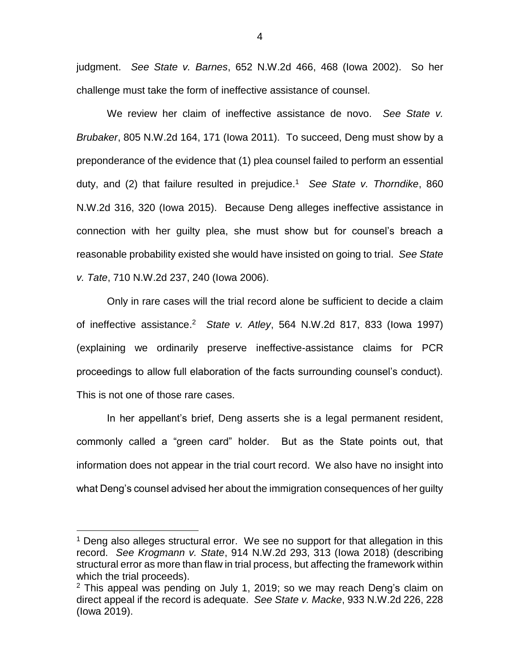judgment. *See State v. Barnes*, 652 N.W.2d 466, 468 (Iowa 2002). So her challenge must take the form of ineffective assistance of counsel.

We review her claim of ineffective assistance de novo. *See State v. Brubaker*, 805 N.W.2d 164, 171 (Iowa 2011). To succeed, Deng must show by a preponderance of the evidence that (1) plea counsel failed to perform an essential duty, and (2) that failure resulted in prejudice.<sup>1</sup> *See State v. Thorndike*, 860 N.W.2d 316, 320 (Iowa 2015). Because Deng alleges ineffective assistance in connection with her guilty plea, she must show but for counsel's breach a reasonable probability existed she would have insisted on going to trial. *See State v. Tate*, 710 N.W.2d 237, 240 (Iowa 2006).

Only in rare cases will the trial record alone be sufficient to decide a claim of ineffective assistance. 2 *State v. Atley*, 564 N.W.2d 817, 833 (Iowa 1997) (explaining we ordinarily preserve ineffective-assistance claims for PCR proceedings to allow full elaboration of the facts surrounding counsel's conduct). This is not one of those rare cases.

In her appellant's brief, Deng asserts she is a legal permanent resident, commonly called a "green card" holder. But as the State points out, that information does not appear in the trial court record. We also have no insight into what Deng's counsel advised her about the immigration consequences of her guilty

 $\overline{a}$ 

<sup>&</sup>lt;sup>1</sup> Deng also alleges structural error. We see no support for that allegation in this record. *See Krogmann v. State*, 914 N.W.2d 293, 313 (Iowa 2018) (describing structural error as more than flaw in trial process, but affecting the framework within which the trial proceeds).

 $2$  This appeal was pending on July 1, 2019; so we may reach Deng's claim on direct appeal if the record is adequate. *See State v. Macke*, 933 N.W.2d 226, 228 (Iowa 2019).